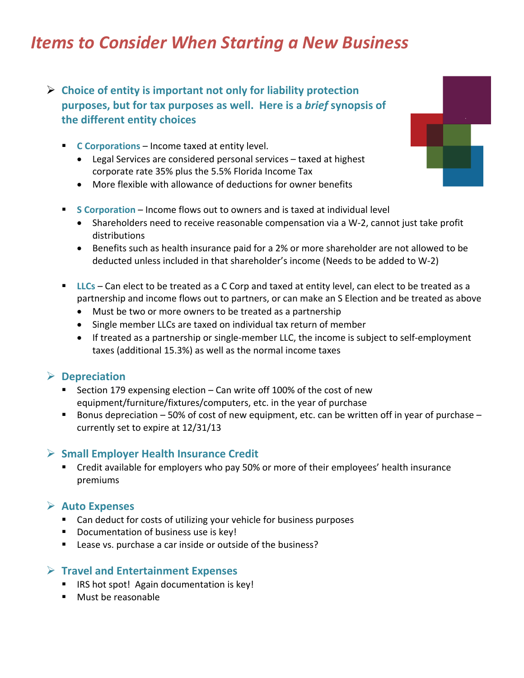## *Items to Consider When Starting a New Business*

## **Choice of entity is important not only for liability protection purposes, but for tax purposes as well. Here is a** *brief* **synopsis of the different entity choices**

- **C Corporations** Income taxed at entity level.
	- Legal Services are considered personal services taxed at highest corporate rate 35% plus the 5.5% Florida Income Tax
	- More flexible with allowance of deductions for owner benefits
- **S Corporation** Income flows out to owners and is taxed at individual level
	- Shareholders need to receive reasonable compensation via a W-2, cannot just take profit distributions
	- Benefits such as health insurance paid for a 2% or more shareholder are not allowed to be deducted unless included in that shareholder's income (Needs to be added to W‐2)
- **LLCs** Can elect to be treated as a C Corp and taxed at entity level, can elect to be treated as a partnership and income flows out to partners, or can make an S Election and be treated as above
	- Must be two or more owners to be treated as a partnership
	- Single member LLCs are taxed on individual tax return of member
	- If treated as a partnership or single-member LLC, the income is subject to self-employment taxes (additional 15.3%) as well as the normal income taxes

#### **Depreciation**

- Section 179 expensing election Can write off 100% of the cost of new equipment/furniture/fixtures/computers, etc. in the year of purchase
- Bonus depreciation  $-50\%$  of cost of new equipment, etc. can be written off in year of purchase  $$ currently set to expire at 12/31/13

#### **Small Employer Health Insurance Credit**

 Credit available for employers who pay 50% or more of their employees' health insurance premiums

#### **Auto Expenses**

- Can deduct for costs of utilizing your vehicle for business purposes
- Documentation of business use is key!
- Lease vs. purchase a car inside or outside of the business?

#### **Travel and Entertainment Expenses**

- **IRS hot spot! Again documentation is key!**
- **Must be reasonable**